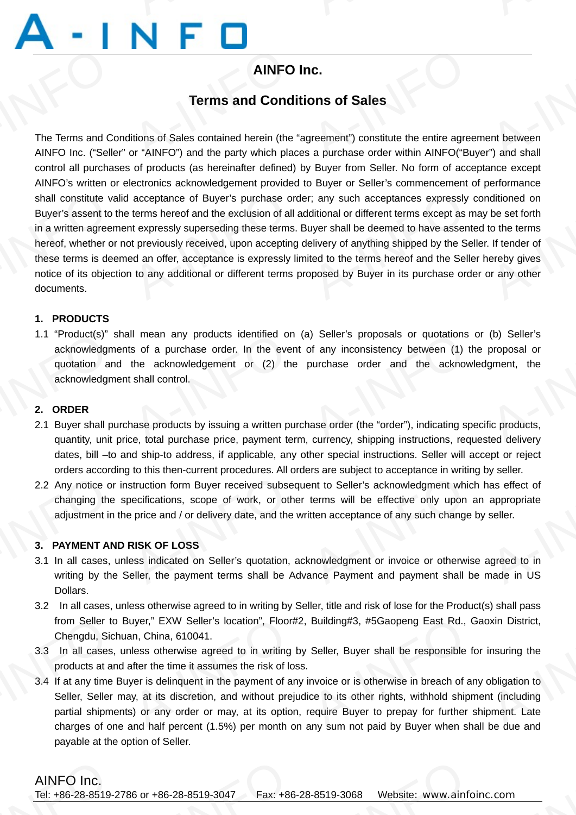# **AINFO Inc.**

## **Terms and Conditions of Sales**

The Terms and Conditions of Sales contained herein (the "agreement") constitute the entire agreement between AINFO Inc. ("Seller" or "AINFO") and the party which places a purchase order within AINFO("Buyer") and shall control all purchases of products (as hereinafter defined) by Buyer from Seller. No form of acceptance except AINFO's written or electronics acknowledgement provided to Buyer or Seller's commencement of performance shall constitute valid acceptance of Buyer's purchase order; any such acceptances expressly conditioned on Buyer's assent to the terms hereof and the exclusion of all additional or different terms except as may be set forth in a written agreement expressly superseding these terms. Buyer shall be deemed to have assented to the terms hereof, whether or not previously received, upon accepting delivery of anything shipped by the Seller. If tender of these terms is deemed an offer, acceptance is expressly limited to the terms hereof and the Seller hereby gives notice of its objection to any additional or different terms proposed by Buyer in its purchase order or any other documents. The Terms and Co.<br>The Terms and Co.<br>AINFO Inc. ("Selle **AINFO**<br> **AINFO**<br> **Terms and Cond**<br>
<br> **SECONDECALLY SECUTE:**<br>
The party which planety which planety which planety **IC.**<br> **ONS of Sales**<br>
The entire agreement") constitute the entire agreement"<br> **A-INFO("BLACK"** and the same of the same of the same of the same of the same of the same of the same of the same of the same of the same of the same of the same of the same of the same of the same of the same of the same of the same of th shall constitute va<br>Buyer's assent to<br>in a written agreer<br>hereof, whether o<br>these terms is dee<br>notice of its objec<br>documents. acceptance of Buyer's purchase of<br>terms hereof and the exclusion of all<br>the expressive superseding these terms<br>to previously received, upon acceptin<br>and an offer, acceptance is expressively<br>to any additional or different t r; any such acceptances expressly<br>ditional or different terms except as r<br>uyer shall be deemed to have assent<br>elivery of anything shipped by the Se<br>ted to the terms hereof and the Selle<br>pposed by Buyer in its purchase ord nditioned on<br>
to the terms<br>
If tender of<br>
ereby gives<br>
pr any other

## **1. PRODUCTS**

1.1 "Product(s)" shall mean any products identified on (a) Seller's proposals or quotations or (b) Seller's acknowledgments of a purchase order. In the event of any inconsistency between (1) the proposal or quotation and the acknowledgement or (2) the purchase order and the acknowledgment, the acknowledgment shall control. 1.1 "Product(s)"<br>
acknowledgm<br>
quotation ar<br>
acknowledgm<br>
2. ORDER<br>
2.1 Buyer shall product that II mean any products identified or<br>
s of a purchase order. In the ever<br>
the acknowledgement or (2) the<br>
shall control.<br>
hase products by issuing a written purchase products by issuing a written purchase price. ) Seller's proposals or quotations<br>of any inconsistency between (1) the<br>ourchase order and the acknow<br>ase order (the "order"), indicating sp<br>currency, shipping instructions, reg (b) Seller's<br>proposal or<br>gment, the<br>fic products,<br>ted delivery

## **2. ORDER**

- 2.1 Buyer shall purchase products by issuing a written purchase order (the "order"), indicating specific products, quantity, unit price, total purchase price, payment term, currency, shipping instructions, requested delivery dates, bill –to and ship-to address, if applicable, any other special instructions. Seller will accept or reject orders according to this then-current procedures. All orders are subject to acceptance in writing by seller.
- 2.2 Any notice or instruction form Buyer received subsequent to Seller's acknowledgment which has effect of changing the specifications, scope of work, or other terms will be effective only upon an appropriate adjustment in the price and / or delivery date, and the written acceptance of any such change by seller. 2.2 Any notice or<br>changing the<br>adjustment in<br>3.1 **PAYMENT AN**<br>3.1 In all cases,<br>writing by the struction form Buyer received subse<br>becifications, scope of work, or other<br>price and / or delivery date, and the<br>**RISK OF LOSS**<br>ess indicated on Seller's quotation,<br>eller, the payment terms shall be A ent to Seller's acknowledgment white<br>terms will be effective only upon<br>titen acceptance of any such change<br>where acceptance of any such change<br>ance Payment or invoice or otherwise A<br>
in a seffect of<br>
seller.<br>
agreed to in<br>
ande in US

## **3. PAYMENT AND RISK OF LOSS**

- 3.1 In all cases, unless indicated on Seller's quotation, acknowledgment or invoice or otherwise agreed to in writing by the Seller, the payment terms shall be Advance Payment and payment shall be made in US Dollars.
- 3.2 In all cases, unless otherwise agreed to in writing by Seller, title and risk of lose for the Product(s) shall pass from Seller to Buyer," EXW Seller's location", Floor#2, Building#3, #5Gaopeng East Rd., Gaoxin District, Chengdu, Sichuan, China, 610041.
- 3.3 In all cases, unless otherwise agreed to in writing by Seller, Buyer shall be responsible for insuring the products at and after the time it assumes the risk of loss.
- 3.4 If at any time Buyer is delinquent in the payment of any invoice or is otherwise in breach of any obligation to Seller, Seller may, at its discretion, and without prejudice to its other rights, withhold shipment (including partial shipments) or any order or may, at its option, require Buyer to prepay for further shipment. Late charges of one and half percent (1.5%) per month on any sum not paid by Buyer when shall be due and payable at the option of Seller. from Seller to<br>Chengdu, Sic<br>3.3 In all cases,<br>products at an<br>3.4 If at any time<br>Seller, Seller<br>partial shipme uyer," EXW Seller's location", Floors<br>an, China, 610041.<br>Iless otherwise agreed to in writing<br>after the time it assumes the risk of Ic<br>yer is delinquent in the payment of a<br>y, at its discretion, and without pre<br>s) or any o Building#3, #5Gaopeng East Rd., of<br>Seller, Buyer shall be responsible to<br>nvoice or is otherwise in breach of a<br>ce to its other rights, withhold shipt<br>require Buyer to prepay for further in District,<br>insuring the<br>obligation to<br>it (including<br>oment. Late<br>he due and

AINFO Inc.<br>Tel: +86-28-8519-2786 or +86-28-8519-3047 Fax: +86-28-8519-3068 Website: www.ainfoinc.com 86 or +86-28-8519-3047 Fax: +86

 $\frac{2.1 \text{ cm}}{1.1 \text{ cm}}$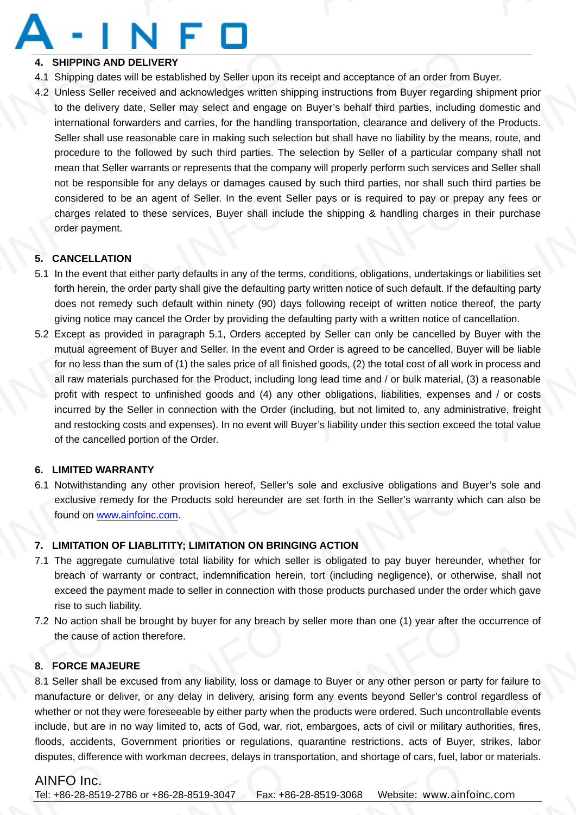## **4. SHIPPING AND DELIVERY**

- 4.1 Shipping dates will be established by Seller upon its receipt and acceptance of an order from Buyer.
- 4.2 Unless Seller received and acknowledges written shipping instructions from Buyer regarding shipment prior to the delivery date, Seller may select and engage on Buyer's behalf third parties, including domestic and international forwarders and carries, for the handling transportation, clearance and delivery of the Products. Seller shall use reasonable care in making such selection but shall have no liability by the means, route, and procedure to the followed by such third parties. The selection by Seller of a particular company shall not mean that Seller warrants or represents that the company will properly perform such services and Seller shall not be responsible for any delays or damages caused by such third parties, nor shall such third parties be considered to be an agent of Seller. In the event Seller pays or is required to pay or prepay any fees or charges related to these services, Buyer shall include the shipping & handling charges in their purchase order payment. 4. SHIPPING AN<br>4.1 Shipping date<br>4.2 Unless Seller<br>to the deliver<br>international 1<br>Seller shall us<br>procedure to DELIVERY<br>
Vill be established by Seller upon its r<br>
ceived and acknowledges written shi<br>
ate, Seller may select and engage of<br>
varders and carries, for the handling<br>
easonable care in making such selection<br>
of followed by ipt and acceptance of an order from<br>hy instructions from Buyer regarding<br>Buyer's behalf third parties, including<br>nsportation, clearance and delivery on<br>but shall have no liability by the me<br>election by Seller of a particul yer.<br>ipment prior<br>omestic and<br>ne Products.<br>s, route, and<br>ny shall not considered to<br>charges relat<br>order paymer<br>5. CANCELLATI<br>5.1 In the event the forth herein, t Exercise an agent of Seller. In the event Seller<br>to these services, Buyer shall inclu<br>Leither party defaults in any of the terr<br>prder party shall give the defaulting p r pays or is required to pay or prep<br>the shipping & handling charges in<br>conditions, obligations, undertakings<br>written notice of such default. If the any fees or<br>Pir purchase<br>A-Information<br>A-Information Set<br>A-Information Set

## **5. CANCELLATION**

- 5.1 In the event that either party defaults in any of the terms, conditions, obligations, undertakings or liabilities set forth herein, the order party shall give the defaulting party written notice of such default. If the defaulting party does not remedy such default within ninety (90) days following receipt of written notice thereof, the party giving notice may cancel the Order by providing the defaulting party with a written notice of cancellation.
- 5.2 Except as provided in paragraph 5.1, Orders accepted by Seller can only be cancelled by Buyer with the mutual agreement of Buyer and Seller. In the event and Order is agreed to be cancelled, Buyer will be liable for no less than the sum of (1) the sales price of all finished goods, (2) the total cost of all work in process and all raw materials purchased for the Product, including long lead time and / or bulk material, (3) a reasonable profit with respect to unfinished goods and (4) any other obligations, liabilities, expenses and / or costs incurred by the Seller in connection with the Order (including, but not limited to, any administrative, freight and restocking costs and expenses). In no event will Buyer's liability under this section exceed the total value of the cancelled portion of the Order. 5.2 Except as promutual agree<br>for no less that<br>all raw materi<br>profit with respectively than<br>and restockin<br>of the cancell ded in paragraph 5.1, Orders accept<br>
the sum of (1) the sales price of all fin<br>
purchased for the Product, including<br>
ct to unfinished goods and (4) any<br>
Seller in connection with the Order (<br>
osts and expenses). In no eve by Seller can only be cancelled by<br>Order is agreed to be cancelled, Buy<br>ad goods, (2) the total cost of all work<br>ng lead time and / or bulk material, (3<br>ner obligations, liabilities, expenses<br>uding, but not limited to, any yer with the<br>will be liable<br>process and<br>reasonable<br>d / or costs<br>ative, freight<br>e total value

## **6. LIMITED WARRANTY**

6.1 Notwithstanding any other provision hereof, Seller's sole and exclusive obligations and Buyer's sole and exclusive remedy for the Products sold hereunder are set forth in the Seller's warranty which can also be found on www.ainfoinc.com. 6.1 Notwithstandiexclusive rem<br>found on <u>www</u><br>7.1 **LIMITATION (7.1 The aggregation** any other provision hereof, Seller's<br>y for the Products sold hereunder a<br>nfoinc.com.<br>LIABLITITY; LIMITATION ON BRING<br>cumulative total liability for which set<br>nty or contract, indemnification here Ie and exclusive obligations and Bundet forth in the Seller's warranty white<br> **G ACTION**<br>
is obligated to pay buyer hereund tort (including negligence), or other <sup>2</sup> sole and<br>
can also be<br>
whether for<br>
whether for<br>
e, shall not

## **7. LIMITATION OF LIABLITITY; LIMITATION ON BRINGING ACTION**

- 7.1 The aggregate cumulative total liability for which seller is obligated to pay buyer hereunder, whether for breach of warranty or contract, indemnification herein, tort (including negligence), or otherwise, shall not exceed the payment made to seller in connection with those products purchased under the order which gave rise to such liability.
- 7.2 No action shall be brought by buyer for any breach by seller more than one (1) year after the occurrence of the cause of action therefore.

## **8. FORCE MAJEURE**

8.1 Seller shall be excused from any liability, loss or damage to Buyer or any other person or party for failure to manufacture or deliver, or any delay in delivery, arising form any events beyond Seller's control regardless of whether or not they were foreseeable by either party when the products were ordered. Such uncontrollable events include, but are in no way limited to, acts of God, war, riot, embargoes, acts of civil or military authorities, fires, floods, accidents, Government priorities or regulations, quarantine restrictions, acts of Buyer, strikes, labor disputes, difference with workman decrees, delays in transportation, and shortage of cars, fuel, labor or materials. 7.2 No action sha<br>the cause of a<br>8. **FORCE MAJE**<br>8.1 Seller shall be<br>manufacture or d<br>whether or not the<br>include but are in e brought by buyer for any breach b<br>on therefore.<br>RE<br>cused from any liability, loss or dam<br>er, or any delay in delivery, arising<br>rere foreseeable by either party when eller more than one (1) year after the<br>
et to Buyer or any other person or pa<br>
a any events beyond Seller's control<br>
eproducts were ordered. Such uncon<br>
embargees acts of civil or military a ccurrence of<br>for failure to<br>egardless of<br>lable events<br>prities fires

# AINFO Inc.<br>Tel: +86-28-8519-

AINFO Inc. Tel: +86-28-8519-2786 or +86-28-8519-3047 Fax: +86-28-8519-3068 Website: www.ainfoinc.com 1.1 Womman decrees, delays in trans Hahon, and shonage of ears, fuer, factor<br>3-8519-3068 Website: www.ainfo  $\frac{2.1 \text{ cm}}{1.1 \text{ cm}}$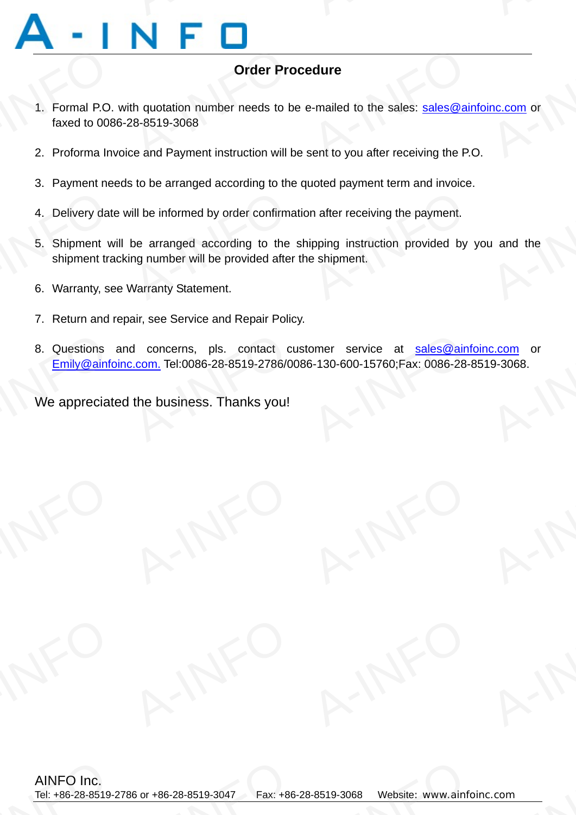# **Order Procedure**

- 1. Formal P.O. with quotation number needs to be e-mailed to the sales: sales@ainfoinc.com or faxed to 0086-28-8519-3068 1. Formal P.O.<br>faxed to 008<br>2. Proforma Inv Order Procedure<br>th quotation number needs to be e-mailed to the sales: sales@ail<br>28-8519-3068<br>ce and Payment instruction will be sent to you after receiving the P. <u>Inc.com</u> or
	- 2. Proforma Invoice and Payment instruction will be sent to you after receiving the P.O.
	- 3. Payment needs to be arranged according to the quoted payment term and invoice.
	- 4. Delivery date will be informed by order confirmation after receiving the payment.
- 5. Shipment will be arranged according to the shipping instruction provided by you and the shipment tracking number will be provided after the shipment. 4. Delivery date<br>5. Shipment we<br>shipment tra<br>6. Warranty, se vill be informed by order confirmation<br>be arranged according to the<br>ng number will be provided after<br>Warranty Statement. In after receiving the payment.<br>
ipping instruction provided by<br>
e shipment. u and the
	- 6. Warranty, see Warranty Statement.
	- 7. Return and repair, see Service and Repair Policy.
- 8. Questions and concerns, pls. contact customer service at sales@ainfoinc.com or Emily@ainfoinc.com. Tel:0086-28-8519-2786/0086-130-600-15760;Fax: 0086-28-8519-3068. 8. Questions<br>Emily@ainformations<br>We appreciat d concerns, pls. contact c<br>
2.com. Tel:0086-28-8519-2786/0<br>
the business. Thanks you! omer service at sales@ainf<br>3-130-600-15760;Fax: 0086-28-8<br>4  $\frac{c.com}{19-3068}$

We appreciated the business. Thanks you!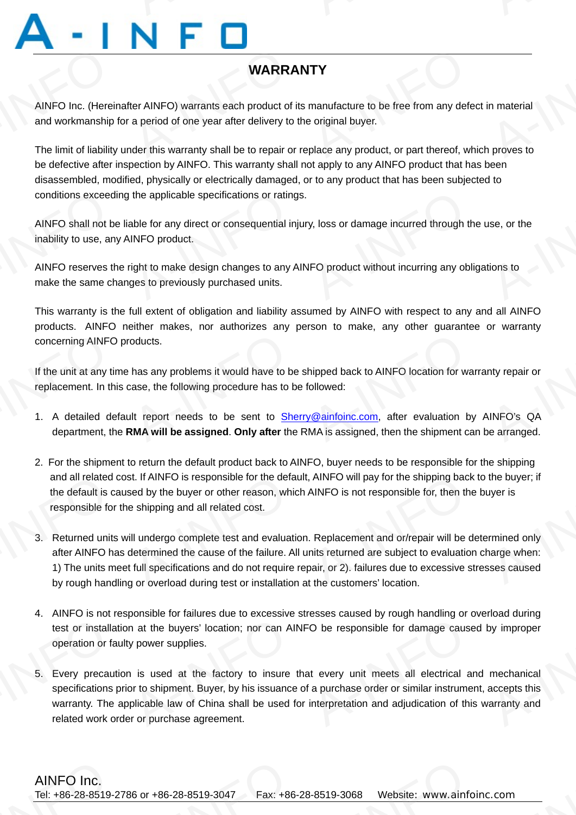# **WARRANTY**

AINFO Inc. (Hereinafter AINFO) warrants each product of its manufacture to be free from any defect in material and workmanship for a period of one year after delivery to the original buyer. AINFO Inc. (Hereinand workmanship WARR TY<br>
manufacture to be free from any defe<br>
e original buyer.<br>
place any product, or part thereof, wl material<br>
in material<br>
proves to

The limit of liability under this warranty shall be to repair or replace any product, or part thereof, which proves to be defective after inspection by AINFO. This warranty shall not apply to any AINFO product that has been disassembled, modified, physically or electrically damaged, or to any product that has been subjected to conditions exceeding the applicable specifications or ratings.

AINFO shall not be liable for any direct or consequential injury, loss or damage incurred through the use, or the inability to use, any AINFO product. the applicable specifications or ratin<br>able for any direct or consequential in<br>INFO product.<br>ight to make design changes to any ges to previously purchased units. y, loss or damage incurred through the<br>IFO product without incurring any obl Ise, or the<br>tions to

AINFO reserves the right to make design changes to any AINFO product without incurring any obligations to make the same changes to previously purchased units. conditions exceed<br>AINFO shall not b<br>inability to use, an<br>AINFO reserves tl<br>make the same ch

> This warranty is the full extent of obligation and liability assumed by AINFO with respect to any and all AINFO products. AINFO neither makes, nor authorizes any person to make, any other guarantee or warranty concerning AINFO products.

> If the unit at any time has any problems it would have to be shipped back to AINFO location for warranty repair or replacement. In this case, the following procedure has to be followed:

- 1. A detailed default report needs to be sent to Sherry@ainfoinc.com, after evaluation by AINFO's QA department, the **RMA will be assigned**. **Only after** the RMA is assigned, then the shipment can be arranged. concerning AINFC<br>If the unit at any ti<br>replacement. In th<br>1. A detailed de<br>department, th oducts.<br>has any problems it would have to b<br>case, the following procedure has to l<br>lit report needs to be sent to Sh<br>**RMA will be assigned. Only after the** nipped back to AINFO location for wa<br>ollowed:<br><u>Wainfoinc.com</u>, after evaluation by<br>MA is assigned, then the shipment ca nty repair or<br>
INFO's QA<br>
e arranged.
	- 2. For the shipment to return the default product back to AINFO, buyer needs to be responsible for the shipping and all related cost. If AINFO is responsible for the default, AINFO will pay for the shipping back to the buyer; if the default is caused by the buyer or other reason, which AINFO is not responsible for, then the buyer is responsible for the shipping and all related cost.
- 3. Returned units will undergo complete test and evaluation. Replacement and or/repair will be determined only after AINFO has determined the cause of the failure. All units returned are subject to evaluation charge when: 1) The units meet full specifications and do not require repair, or 2). failures due to excessive stresses caused by rough handling or overload during test or installation at the customers' location. and all related<br>the default is c<br>responsible for<br>5.<br>3. Returned units<br>after AINFO h<br>1) The units m<br>by rough band ist. If AINFO is responsible for the defased by the buyer or other reason, which<br>a shipping and all related cost.<br>Ill undergo complete test and evaluat<br>determined the cause of the failure. A<br>i full specifications and do no , AINFO will pay for the shipping back<br>AINFO is not responsible for, then the<br>. Replacement and or/repair will be c<br>nits returned are subject to evaluatio<br>pair, or 2). failures due to excessive s<br>t the customers' location the buyer; if<br>uyer is<br>rmined only<br>narge when:<br>sses caused
	- 4. AINFO is not responsible for failures due to excessive stresses caused by rough handling or overload during test or installation at the buyers' location; nor can AINFO be responsible for damage caused by improper operation or faulty power supplies.
- 5. Every precaution is used at the factory to insure that every unit meets all electrical and mechanical specifications prior to shipment. Buyer, by his issuance of a purchase order or similar instrument, accepts this warranty. The applicable law of China shall be used for interpretation and adjudication of this warranty and related work order or purchase agreement. Frame Stock<br>test or installar<br>operation or factor<br>5. Every precaure<br>specifications<br>warranty. The<br>related work c The Handles das to shocket.<br>The at the buyers' location; nor can A<br>A power supplies.<br>The factory to insure<br>or to shipment. Buyer, by his issuance<br>plicable law of China shall be used<br>The property or purchase agreement. O be responsible for damage cause<br>of the responsible for damage cause<br>at every unit meets all electrical as<br>a purchase order or similar instrume<br>interpretation and adjudication of this hy improper<br>mechanical<br>accepts this<br>varranty and

 $\frac{2 \cdot \text{com}}{\sqrt{2}}$